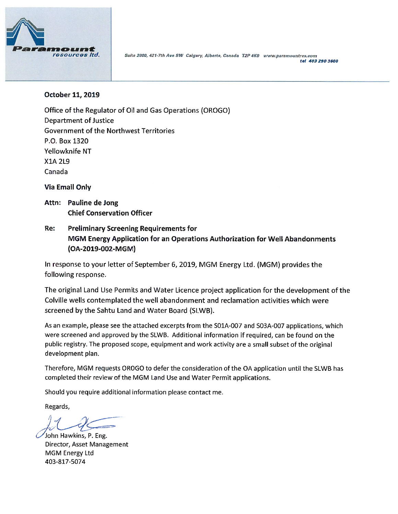

Suite 2800, 421-7th Ave SW Calgary, Alberta, Canada T2P 4K9 www.paramountres.com tel 403 290 3600

#### October 11, 2019

Office of the Regulator of Oil and Gas Operations (OROGO) **Department of Justice Government of the Northwest Territories** P.O. Box 1320 Yellowknife NT **X1A 2L9** Canada

**Via Email Only** 

- Attn: Pauline de Jong **Chief Conservation Officer**
- Re: **Preliminary Screening Requirements for** MGM Energy Application for an Operations Authorization for Well Abandonments (OA-2019-002-MGM)

In response to your letter of September 6, 2019, MGM Energy Ltd. (MGM) provides the following response.

The original Land Use Permits and Water Licence project application for the development of the Colville wells contemplated the well abandonment and reclamation activities which were screened by the Sahtu Land and Water Board (SLWB).

As an example, please see the attached excerpts from the S01A-007 and S03A-007 applications, which were screened and approved by the SLWB. Additional information if required, can be found on the public registry. The proposed scope, equipment and work activity are a small subset of the original development plan.

Therefore, MGM requests OROGO to defer the consideration of the OA application until the SLWB has completed their review of the MGM Land Use and Water Permit applications.

Should you require additional information please contact me.

Regards,

John Hawkins, P. Eng. Director, Asset Management **MGM Energy Ltd** 403-817-5074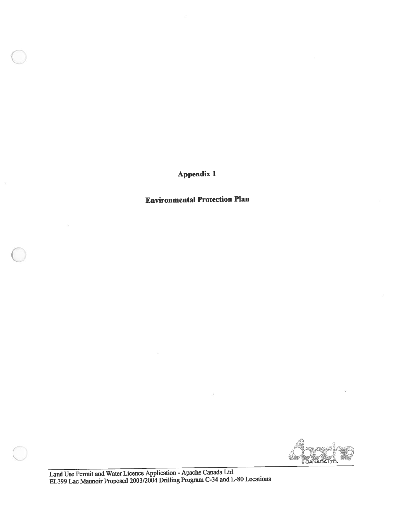Appendix 1

 $\mathcal{G}$ 

Environmental Protection Plan

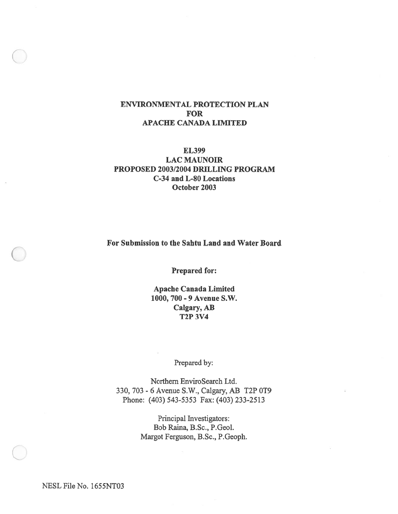#### ENVIRONMENTAL PROTECTION PLAN FOR APACHE CANADA LIMITED

#### EL399 LAC MAUNOIR PROPOSED 2003/2004 DRILLING PROGRAM C-34 and L-80 Locations October 2003

For Submission to the Sahtu Land and Water Board

Prepared for:

Apache Canada Limited 1000, 700 - 9 Avenue S.W. Calgary, AB T2P 3V4

Prepared by:

Northern EnviroSearch Ltd. 330, 703 - 6 Avenue S.W., Calgary, AB T2P 0T9 Phone: (403) 543-5353 Fax: (403) 233-2513

> Principal Investigators: Bob Raina, B.Sc., P.Geol. Margot Ferguson, B.Sc., P.Geoph.

NESL File No. 1655NT03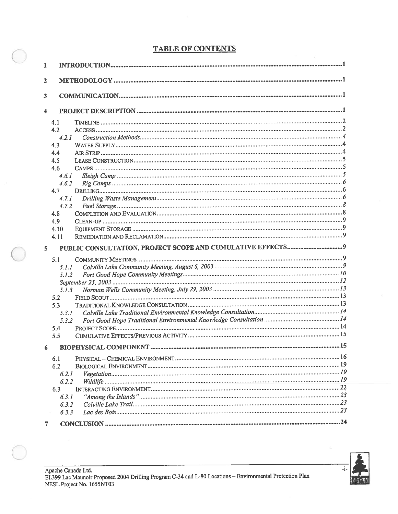# TABLE OF CONTENTS

| 1              |                |  |
|----------------|----------------|--|
| $\mathbf{2}$   |                |  |
|                |                |  |
| 3              |                |  |
| 4              |                |  |
|                | 4.1            |  |
|                | 4.2            |  |
|                | 4.2.1          |  |
|                | 4.3            |  |
|                | 4.4            |  |
|                | 4.5            |  |
|                | 4.6            |  |
|                | 4.6.1          |  |
|                | 4.6.2          |  |
|                | 4.7            |  |
|                | 4.7.1          |  |
|                | 4.7.2          |  |
|                | 4.8            |  |
|                | 4.9            |  |
|                | 4.10           |  |
|                | 4.11           |  |
|                |                |  |
| $\overline{5}$ |                |  |
|                |                |  |
|                | 5.1            |  |
|                | 5.1.1<br>5.1.2 |  |
|                |                |  |
|                | 5.1.3          |  |
|                | 5.2            |  |
|                | 5.3            |  |
|                | 5.3.1          |  |
|                | 5.3.2          |  |
|                | 5.4            |  |
|                | 5.5            |  |
| 6              |                |  |
|                | 6.1            |  |
|                | 6.2            |  |
|                | 6.2.1          |  |
|                | 6.2.2          |  |
|                | 6.3            |  |
|                | 6.3.1          |  |
|                | 6.3.2          |  |
|                | 6.3.3          |  |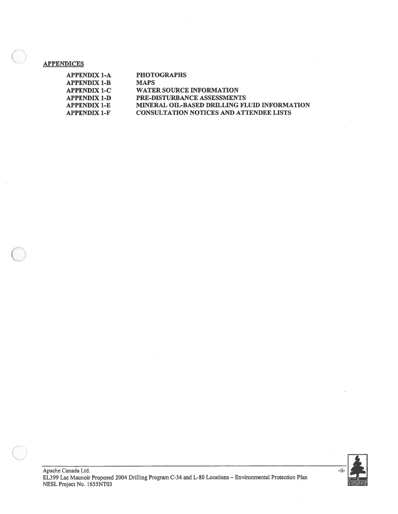#### **APPENDICES**

 $\bar{z}$ 

| <b>APPENDIX 1-A</b> | <b>PHOTOGRAPHS</b>                             |
|---------------------|------------------------------------------------|
| <b>APPENDIX 1-B</b> | <b>MAPS</b>                                    |
| <b>APPENDIX 1-C</b> | <b>WATER SOURCE INFORMATION</b>                |
| <b>APPENDIX 1-D</b> | <b>PRE-DISTURBANCE ASSESSMENTS</b>             |
| <b>APPENDIX 1-E</b> | MINERAL OIL-BASED DRILLING FLUID INFORMATION   |
| <b>APPENDIX 1-F</b> | <b>CONSULTATION NOTICES AND ATTENDEE LISTS</b> |



s.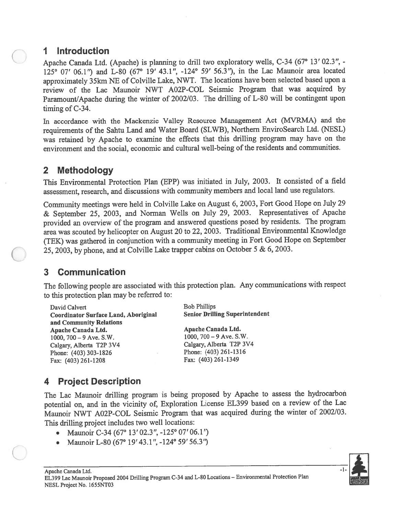# I Introduction

Apache Canada Ltd. (Apache) is <sup>p</sup>lanning to drill two exploratory wells, C-34 (67° 13' 02.3 ", - 125° 07' 06.1") and L-80 (67° 19' 43.1", -124° 59' 56.3"), in the Lac Maunoir area located approximately 35km NE of Colville Lake, NWT. The locations have been selected based upon <sup>a</sup> review of the Lac Maunoir NWT AO2P-COL Seismic Program that was acquired by Paramount/Apache during the winter of 2002/03. The drilling of L-80 will be contingent upon timing of C-34.

In accordance with the Mackenzie Valley Resource Management Act (MVRMA) and the requirements of the Sahtu Land and Water Board (SLWB), Northern EnviroSearch Ltd. (NESL) was retained by Apache to examine the effects that this drilling program may have on the environment and the social, economic and cultural well-being of the residents and communities.

# 2 Methodology

This Environmental Protection Plan (EPP) was initiated in July, 2003. It consisted of a field assessment, research, and discussions with community members and local land use regulators.

Community meetings were held in Colville Lake on August 6, 2003, Fort Good Hope on July <sup>29</sup> & September 25, 2003, and Norman Wells on July 29, 2003. Representatives of Apache provided an overview of the program and answered questions pose<sup>d</sup> by residents. The program area was scouted by helicopter on August <sup>20</sup> to 22, 2003. Traditional Environmental Knowledge (TEK) was gathered in conjunction with <sup>a</sup> community meeting in Fort Good Hope on September 25, 2003, by <sup>p</sup>hone, and at Colville Lake trapper cabins on October <sup>5</sup> & 6, 2003.

# 3 Communication

The following people are associated with this protection <sup>p</sup>lan. Any communications with respec<sup>t</sup> to this protection <sup>p</sup>lan may be referred to:

David Calvert Bob Phillips Coordinator Surface Land, Aboriginal Senior Drilling Superintendent and Community Relations Apache Canada Ltd. Apache Canada Ltd. 1000, 700—9 Ave. S.W. 1000, 700—9 Ave. S.W. Calgary, Alberta T2P 3V4 Calgary, Alberta T2P 3V4 Phone: (403) 303-1826 Phone: (403) 261-1316 Fax: (403)261-1208 Fax: (403)261-1349

# 4 Project Description

The Lac Maunoir drilling program is being propose<sup>d</sup> by Apache to assess the hydrocarbon potential on, and in the vicinity of, Exploration License EL399 based on a review of the Lac Maunoir NWT AO2P-COL Seismic Program that was acquired during the winter of 2002/03. This drilling project includes two well locations:

- •Maunoir C-34 (67° 13' 02.3", -125° 07' 06.1")
- •Maunoir L-80 (67° 19′ 43.1", -124° 59′ 56.3")

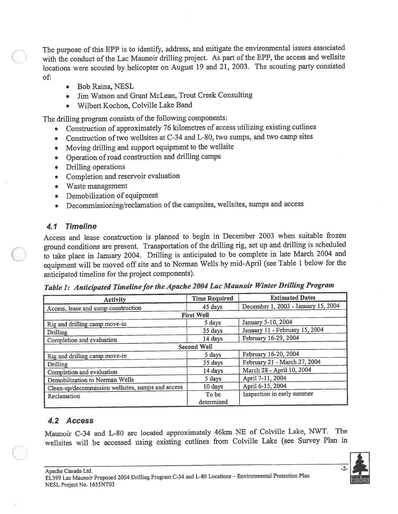The purpose of this EPP is to identify, address, and mitigate the environmental issues associated with the conduct of the Lac Maunoir drilling project. As par<sup>t</sup> of the EPP, the access and weilsite locations were scouted by helicopter on August <sup>19</sup> and 21, 2003. The scouting party consisted of:

- •Bob Raina, NESL
- •Jim Watson and Grant McLean, Trout Creek Consulting
- •Wilbert Kochon, Colville Lake Band

The drilling program consists of the following components:

- •Construction of approximately <sup>76</sup> kilometres of access utilizing existing cutlines
- Construction of two wellsites at C-34 and L-80, two sumps, and two camp sites
- •Moving drilling and suppor<sup>t</sup> equipment to the welisite
- Operation of road construction and drilling camps
- •Drilling operations
- Completion and reservoir evaluation
- Waste management
- •Demobilization of equipment
- •Decommissioning/reclamation of the campsites, wellsites, sumps and access

# 4.1 Timeline

Access and lease construction is <sup>p</sup>lanned to begin in December <sup>2003</sup> when suitable frozen groun<sup>d</sup> conditions are present. Transportation of the drilling rig, set up and drilling is scheduled to take <sup>p</sup>lace in January 2004. Drilling is anticipated to be complete in late March <sup>2004</sup> and equipment will be moved off site and to Norman Wells by mid-April (see Table <sup>1</sup> below for the anticipated timeline for the project components).

Table 1: Anticipated Timeline for the Apache 2004 Lac Maunoir Winter Drilling Program

| <b>Activity</b>                                   | <b>Time Required</b> | <b>Estimated Dates</b>              |
|---------------------------------------------------|----------------------|-------------------------------------|
| Access, lease and sump construction               | 45 days              | December 1, 2003 - January 15, 2004 |
|                                                   | <b>First Well</b>    |                                     |
| Rig and drilling camp move-in                     | 5 days               | January 5-10, 2004                  |
| Drilling                                          | 35 days              | January 11 - February 15, 2004      |
| Completion and evaluation                         | 14 days              | February 16-29, 2004                |
| <b>Second Well</b>                                |                      |                                     |
| Rig and drilling camp move-in                     | 5 days               | February 16-20, 2004                |
| Drilling                                          | 35 days              | February 21 - March 27, 2004        |
| Completion and evaluation                         | 14 days              | March 28 - April 10, 2004           |
| Demobilization to Norman Wells                    | 5 days               | April 7-11, 2004                    |
| Clean-up/decommission wellsites, sumps and access | 10 days              | April 6-15, 2004                    |
| Reclamation                                       | To be                | Inspection in early summer          |
|                                                   | determined           |                                     |

# 4.2 Access

Maunoir C-34 and L-80 are located approximately 46km NE of Colville Lake, NWT. The welisites will be accessed using existing cutlines from Colville Lake (see Survey Plan in

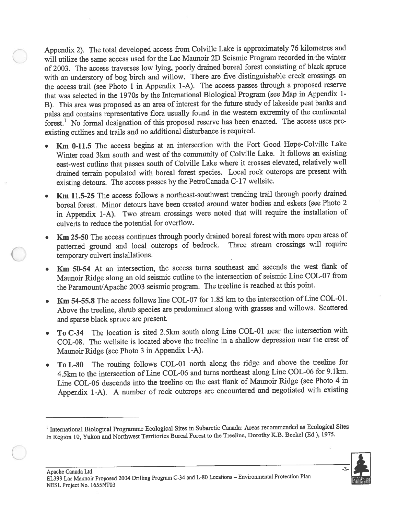Appendix 2). The total developed access from Colville Lake is approximately <sup>76</sup> kilometres and will utilize the same access used for the Lac Maunoir 2D Seismic Program recorded in the winter of 2003. The access traverses low lying, poorly drained boreal forest consisting of black spruce with an understory of bog birch and willow. There are five distinguishable creek crossings on the access trail (see Photo <sup>1</sup> in Appendix 1-A). The access passes through <sup>a</sup> propose<sup>d</sup> reserve that was selected in the 1970s by the International Biological Program (see Map in Appendix 1- B). This area was propose<sup>d</sup> as an area of interest for the future study of lakeside pea<sup>t</sup> banks and palsa and contains representative flora usually found in the western extremity of the continental forest.' No formal designation of this propose<sup>d</sup> reserve has been enacted. The access uses pre existing cutlines and trails and no additional disturbance is required.

- Km 0-11.5 The access begins at an intersection with the Fort Good Hope-Colville Lake Winter road 3km south and west of the community of Colville Lake. It follows an existing east-west cutline that passes south of Colville Lake where it crosses elevated, relatively well drained terrain populated with boreal forest species. Local rock outcrops are presen<sup>t</sup> with existing detours. The access passes by the PetroCanada C-17 wellsite.
- •Km 11.5-25 The access follows a northeast-southwest trending trail through poorly drained boreal forest. Minor detours have been created around water bodies and eskers (see Photo <sup>2</sup> in Appendix 1-A). Two stream crossings were noted that will require the installation of culverts to reduce the potential for overflow.
- Km 25-50 The access continues through poorly drained boreal forest with more open areas of patterned groun<sup>d</sup> and local outcrops of bedrock. Three stream crossings will require temporary culvert installations.
- Km 50-54 At an intersection, the access turns southeast and ascends the west flank of Maunoir Ridge along an old seismic cutline to the intersection of seismic Line COL-07 from the Paramount/Apache <sup>2003</sup> seismic program. The treeline is reached at this point.
- • Km 54-55.8 The access follows line COL-07 for 1.85 km to the intersection of Line COL-Ol. Above the treeline, shrub species are predominant along with grasses and willows. Scattered and sparse black spruce are present.
- • To C-34 The location is sited 2.5km south along Line COL-Ol near the intersection with COL-08. The welisite is located above the treeline in <sup>a</sup> shallow depression near the crest of Maunoir Ridge (see Photo <sup>3</sup> in Appendix 1-A).
- • To L-80 The routing follows COL-Ol north along the ridge and above the treeline for 4.5km to the intersection of Line COL-06 and turns northeast along Line COL-06 for 9.1km. Line COL-06 descends into the treeline on the east flank of Maunoir Ridge (see Photo <sup>4</sup> in Appendix 1-A). <sup>A</sup> number of rock outcrops are encountered and negotiated with existing

<sup>&</sup>lt;sup>1</sup> International Biological Programme Ecological Sites in Subarctic Canada: Areas recommended as Ecological Sites In Region 10, Yukon and Northwest Territories Boreal Forest to the Treeline, Dorothy K.B. Beckel (Ed.), 1975.

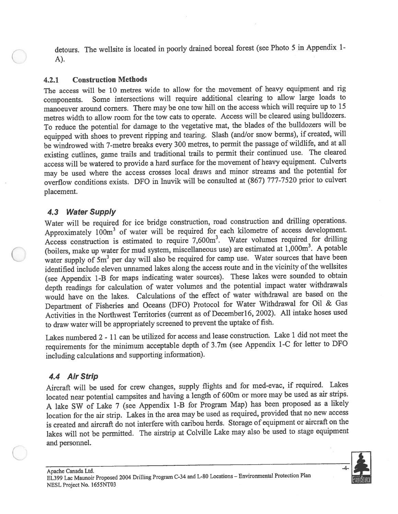detours. The welisite is located in poorly drained boreal forest (see Photo <sup>5</sup> in Appendix 1- A).

#### 4.2.1 Construction Methods

The access will be <sup>10</sup> metres wide to allow for the movement of heavy equipment and rig components. Some intersections will require additional clearing to allow large loads to manoeuver around corners. There may be one tow hill on the access which will require up to <sup>15</sup> metres width to allow room for the tow cats to operate. Access will be cleared using bulldozers. To reduce the potential for damage to the vegetative mat, the blades of the bulldozers will be equipped with shoes to preven<sup>t</sup> ripping and tearing. Slash (and/or snow berms), if created, will be windrowed with 7-metre breaks every <sup>300</sup> metres, to permit the passage of wildlife, and at all existing cutlines, game trails and traditional trails to permit their continued use. The cleared access will be watered to provide <sup>a</sup> hard surface for the movement of heavy equipment. Culverts may be used where the access crosses local draws and minor streams and the potential for overflow conditions exists. DFO in Inuvik will be consulted at (867) 777-7520 prior to culvert placement.

#### 4.3 Water Supply

Water will be required for ice bridge construction, road construction and drilling operations. Approximately  $100m<sup>3</sup>$  of water will be required for each kilometre of access development. Access construction is estimated to require 7,600m<sup>3</sup>. Water volumes required for drilling (boilers, make up water for mud system, miscellaneous use) are estimated at  $1,000$ m<sup>3</sup>. A potable water supply of 5m<sup>3</sup> per day will also be required for camp use. Water sources that have been identified include eleven unnamed lakes along the access route and in the vicinity of the weilsites (see Appendix 1-B for maps indicating water sources). These lakes were sounded to obtain depth readings for calculation of water volumes and the potential impact water withdrawals would have on the lakes. Calculations of the effect of water withdrawal are based on the Department of Fisheries and Oceans (DFO) Protocol for Water Withdrawal for Oil & Gas Activities in the Northwest Territories (current as of December16, 2002). All intake hoses used to draw water will be appropriately screened to prevent the uptake of fish.

Lakes numbered <sup>2</sup> - <sup>11</sup> can be utilized for access and lease construction. Lake <sup>1</sup> did not meet the requirements for the minimum acceptable depth of <sup>3</sup> .7m (see Appendix 1-C for letter to DFO including calculations and supporting information).

## 4.4 Air Strip

Aircraft will be used for crew changes, supply flights and for med-evac, if required. Lakes located near potential campsites and having <sup>a</sup> length of 600m or more may be used as air strips. <sup>A</sup> lake SW of Lake <sup>7</sup> (see Appendix 1-B for Program Map) has been propose<sup>d</sup> as <sup>a</sup> likely location for the air strip. Lakes in the area may be used as required, provided that no new access is created and aircraft do not interfere with caribou herds. Storage of equipment or aircraft on the lakes will not be permitted. The airstrip at Colville Lake may also be used to stage equipment and personnel.

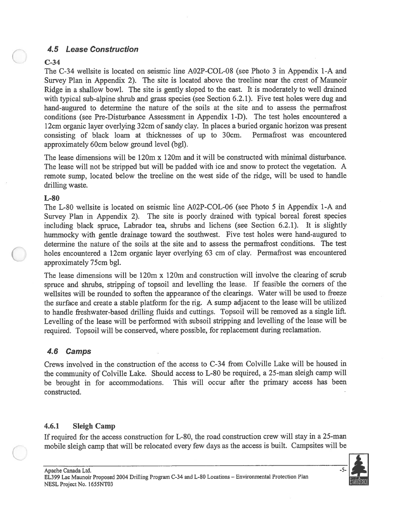## 4.5 Lease Construction

#### C-34

The C-34 welisite is located on seismic line AO2P-COL-08 (see Photo 3 in Appendix 1-A and Survey Plan in Appendix 2). The site is located above the treeline near the crest of Maunoir Ridge in <sup>a</sup> shallow bowl. The site is gently sloped to the east. It is moderately to well drained with typical sub-alpine shrub and grass species (see Section 6.2.1). Five test holes were dug and hand-augured to determine the nature of the soils at the site and to assess the permafrost conditions (see Pre-Disturbance Assessment in Appendix 1-D). The test holes encountered <sup>a</sup> 12cm organic layer overlying 32cm of sandy clay. In <sup>p</sup>laces <sup>a</sup> buried organic horizon was presen<sup>t</sup> consisting of black loam at thicknesses of up to 30cm. Permafrost was encountered approximately 60cm below ground level (bgl). 4.5 Lease Construction<br>
2.34<br>
C34 C-34 veloties is leasted on seismic line A02P-COL-08 (see Photo 3 in Appendix 1-A and<br>
The C-34 veloties is leasted on seismic line A02P-COL-08 (see Photo 3 in Appendix 1-A and<br>
ENEW In a 4.5 Lease Construction<br>
1.63 Lease Construction<br>
The C-34 wealls is located on acismic line A02P-COL-08 (see Photo 3 in Appendix 1-A and<br>
Show The malleno book . The since is located above the tredits near the cent of Mau

The lease dimensions will be 120m <sup>x</sup> 120m and it will be constructed with minimal disturbance. The lease will not be stripped but will be padded with ice and snow to protect the vegetation. A remote sump, located below the treeline on the west side of the ridge, will be used to handle drilling waste.

#### L-80

The L-80 weilsite is located on seismic line AO2P-COL-06 (see Photo 5 in Appendix 1-A and Survey Plan in Appendix 2). The site is poorly drained with typical boreal forest species including black spruce, Labrador tea, shrubs and lichens (see Section 6.2.1). It is slightly hummocky with gentle drainage toward the southwest. Five test holes were hand-augured to determine the nature of the soils at the site and to assess the permafrost conditions. The test holes encountered <sup>a</sup> 12cm organic layer overlying <sup>63</sup> cm of clay. Permafrost was encountered approximately 75cm bgl.

The lease dimensions will be 120m <sup>x</sup> 120m and construction will involve the clearing of scrub spruce and shrubs, stripping of topsoil and levelling the lease. If feasible the corners of the wellsites will be rounded to soften the appearance of the clearings. Water will be used to freeze the surface and create <sup>a</sup> stable <sup>p</sup>latform for the rig. <sup>A</sup> sump adjacent to the lease will be utilized to handle freshwater-based drilling fluids and cuttings. Topsoil will be removed as <sup>a</sup> single lift. Levelling of the lease will be performed with subsoil stripping and levelling of the lease will be required. Topsoil will be conserved, where possible, for replacement during reclamation.

## 4.6 Camps

Crews involved in the construction of the access to C-34 from Colville Lake will be housed in the community of Colville Lake. Should access to L-80 be required, <sup>a</sup> 25-man sleigh camp will be brought in for accommodations. This will occur after the primary access has been constructed.

## 4.6.1 Sleigh Camp

If required for the access construction for L-80, the road construction crew will stay in <sup>a</sup> 25-man mobile sleigh camp that will be relocated every few days as the access is built. Campsites will be

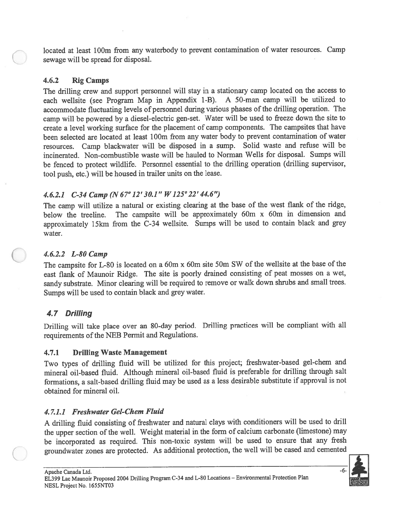located at least 100m from any waterbody to prevent contamination of water resources. Camp sewage will be spread for disposal.

#### 4.6.2 Rig Camps

The drilling crew and suppor<sup>t</sup> personne<sup>l</sup> will stay in <sup>a</sup> stationary camp located on the access to each weilsite (see Program Map in Appendix 1-B). <sup>A</sup> 50-man camp will be utilized to accommodate fluctuating levels of personne<sup>l</sup> during various <sup>p</sup>hases of the drilling operation. The camp will be powere<sup>d</sup> by <sup>a</sup> diesel-electric gen-set. Water will be used to freeze down the site to create <sup>a</sup> level working surface for the <sup>p</sup>lacement of camp components. The campsites that have been selected are located at least 100m from any water body to prevent contamination of water resources. Camp blackwater will be disposed in <sup>a</sup> sump. Solid waste and refuse will be incinerated. Non-combustible waste will be hauled to Norman Wells for disposal. Sumps will be fenced to protect wildlife. Personnel essential to the drilling operation (drilling supervisor, tool push, etc.) will be housed in trailer units on the lease.

## 4.6.2.1 C-34 Camp (N 67° 12' 30.1" W125°22' 44.6'9

The camp will utilize <sup>a</sup> natural or existing clearing at the base of the west flank of the ridge, below the treeline. The campsite will be approximately 60m <sup>x</sup> 60m in dimension and approximately 15km from the C-34 welisite. Sumps will be used to contain black and grey water.

## 4.6.2.2 L-80 Camp

The campsite for L-80 is located on <sup>a</sup> 60m <sup>x</sup> 60m site 50m SW of the wellsite at the base of the east flank of Maunoir Ridge. The site is poorly drained consisting of pea<sup>t</sup> mosses on <sup>a</sup> wet, sandy substrate. Minor clearing will be required to remove or walk down shrubs and small trees. Sumps will be used to contain black and grey water.

# 4.7 Drilling

Drilling will take place over an 80-day period. Drilling practices will be compliant with all requirements of the NEB Permit and Regulations.

## 4.7.1 Drilling Waste Management

Two types of drilling fluid will be utilized for this project; freshwater-based gel-chem and mineral oil-based fluid. Although mineral oil-based fluid is preferable for drilling through salt formations, <sup>a</sup> salt-based drilling fluid may be used as <sup>a</sup> less desirable substitute if approva<sup>l</sup> is not obtained for mineral oil.

## 4.7.1.1 Freshwater Gel-Chem Fluid

<sup>A</sup> drilling fluid consisting of freshwater and natural clays with conditioners will be used to drill the upper section of the well. Weight material in the form of calcium carbonate (limestone) may be incorporated as required. This non-toxic system will be used to ensure that any fresh groundwater zones are protected. As additional protection, the well will be cased and cemented

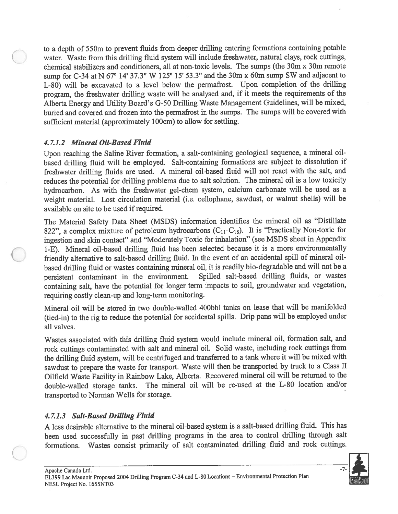to <sup>a</sup> depth of 550m to preven<sup>t</sup> fluids from deeper drilling entering formations containing potable water. Waste from this drilling fluid system will include freshwater, natural clays, rock cuttings, chemical stabilizers and conditioners, all at non-toxic levels. The sumps (the 30m <sup>x</sup> 30m remote sump for C-34 at <sup>N</sup> 67° 14' 37.3" <sup>W</sup> 125° 15' 53.3" and the 30m <sup>x</sup> 60m sump SW and adjacent to L-80) will be excavated to <sup>a</sup> level below the permafrost. Upon completion of the drilling program, the freshwater drilling waste will be analysed and, if it meets the requirements of the Alberta Energy and Utility Board's G-50 Drilling Waste Management Guidelines, will be mixed, buried and covered and frozen into the permafrost in the sumps. The sumps will be covered with sufficient material (approximately 100cm) to allow for settling.

#### 4.7.1.2 Mineral Oil-Based Fluid

Upon reaching the Saline River formation, <sup>a</sup> salt-containing geological sequence, <sup>a</sup> mineral oilbased drilling fluid will be employed. Salt-containing formations are subject to dissolution if freshwater drilling fluids are used. <sup>A</sup> mineral oil-based fluid will not react with the salt, and reduces the potential for drilling problems due to salt solution. The mineral oil is <sup>a</sup> low toxicity hydrocarbon. As with the freshwater gel-chem system, calcium carbonate will be used as <sup>a</sup> weight material. Lost circulation material (i.e. cellophane, sawdust, or walnut shells) will be available on site to be used if required.

The Material Safety Data Sheet (MSDS) information identifies the mineral oil as "Distillate 822", a complex mixture of petroleum hydrocarbons  $(C_{11}-C_{18})$ . It is "Practically Non-toxic for ingestion and skin contact" and "Moderately Toxic for inhalation" (see MSDS sheet in Appendix 1-E). Mineral oil-based drilling fluid has been selected because it is <sup>a</sup> more environmentally friendly alternative to salt-based drilling fluid. In the event of an accidental spill of mineral oilbased drilling fluid or wastes containing mineral oil, it is readily bio-degradable and will not be <sup>a</sup> persistent contaminant in the environment. Spilled salt-based drilling fluids, or wastes containing salt, have the potential for longer term impacts to soil, groundwater and vegetation, requiring costly clean-up and long-term monitoring.

Mineral oil will be stored in two double-walled 400bbl tanks on lease that will be manifolded (tied-in) to the rig to reduce the potential for accidental spills. Drip pans will be employed under all valves.

Wastes associated with this drilling fluid system would include mineral oil, formation salt, and rock cuttings contaminated with salt and mineral oil. Solid waste, including rock cuttings from the drilling fluid system, will be centrifuged and transferred to <sup>a</sup> tank where it will be mixed with sawdust to prepare the waste for transport. Waste will then be transported by truck to a Class II Oilfield Waste Facility in Rainbow Lake, Alberta. Recovered mineral oil will be returned to the double-walled storage tanks. The mineral oil will be re-used at the L-80 location and/or transported to Norman Wells for storage.

## 4.7.1.3 Salt-Based Drilling Fluid

<sup>A</sup> less desirable alternative to the mineral oil-based system is <sup>a</sup> salt-based drilling fluid. This has been used successfully in pas<sup>t</sup> drilling programs in the area to control drilling through salt formations. Wastes consist primarily of salt contaminated drilling fluid and rock cuttings.

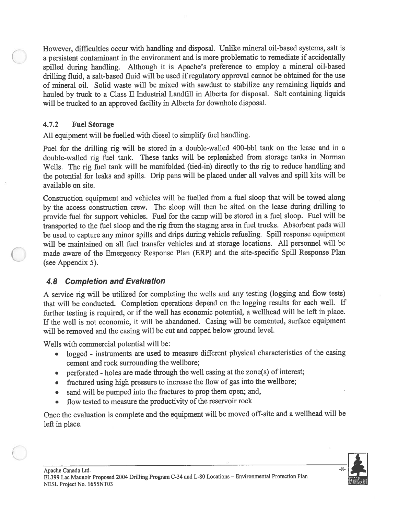However, difficulties occur with handling and disposal. Unlike mineral oil-based systems, salt is a persistent contaminant in the environment and is more problematic to remediate if accidentally spilled during handling. Although it is Apache's preference to employ <sup>a</sup> mineral oil-based drilling fluid, <sup>a</sup> salt-based fluid will be used ifregulatory approva<sup>l</sup> cannot be obtained for the use of mineral oil. Solid waste will be mixed with sawdust to stabilize any remaining liquids and hauled by truck to <sup>a</sup> Class II Industrial Landfill in Alberta for disposal. Salt containing liquids will be trucked to an approved facility in Alberta for downhole disposal.

## 4.7.2 Fuel Storage

All equipment will be fuelled with diesel to simplify fuel handling.

Fuel for the drilling rig will be stored in <sup>a</sup> double-walled 400-bbl tank on the lease and in <sup>a</sup> double-walled rig fuel tank. These tanks will be replenished from storage tanks in Norman Wells. The rig fuel tank will be manifolded (tied-in) directly to the rig to reduce handling and the potential for leaks and spills. Drip pans will be <sup>p</sup>laced under all valves and spill kits will be available on site.

Construction equipment and vehicles will be fuelled from <sup>a</sup> fuel sloop that will be towed along by the access construction crew. The sloop will then be sited on the lease during drilling to provide fuel for suppor<sup>t</sup> vehicles. Fuel for the camp will be stored in <sup>a</sup> fuel sloop. Fuel will be transported to the fuel sloop and the rig from the staging area in fuel trucks. Absorbent pads will be used to capture any minor spills and drips during vehicle refueling. Spill response equipment will be maintained on all fuel transfer vehicles and at storage locations. All personnel will be made aware of the Emergency Response Plan (ERP) and the site-specific Spill Response Plan (see Appendix 5).

# **4.8 Completion and Evaluation**

<sup>A</sup> service rig will be utilized for completing the wells and any testing (logging and flow tests) that will be conducted. Completion operations depend on the logging results for each well. If further testing is required, or if the well has economic potential, <sup>a</sup> wellhead will be left in <sup>p</sup>lace. If the well is not economic, it will be abandoned. Casing will be cemented, surface equipment will be removed and the casing will be cut and cappe<sup>d</sup> below groun<sup>d</sup> level.

Wells with commercial potential will be:

- • logged - instruments are used to measure different <sup>p</sup>hysical characteristics of the casing cement and rock surrounding the weilbore;
- perforated holes are made through the well casing at the zone(s) of interest;
- $\bullet$ fractured using high pressure to increase the flow of gas into the welibore;
- •sand will be pumpe<sup>d</sup> into the fractures to prop them open; and,
- •flow tested to measure the productivity of the reservoir rock

Once the evaluation is complete and the equipment will be moved off-site and a wellhead will be left in place.

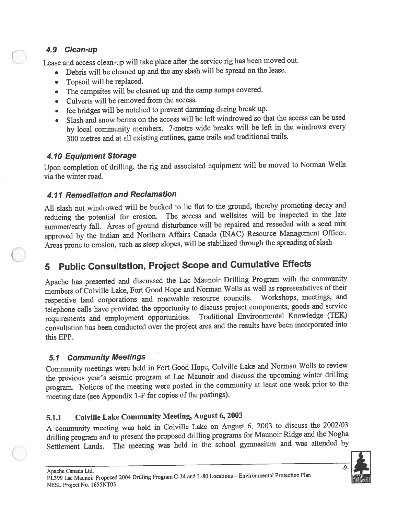## 4.9 Clean-up

Lease and access clean-up will take <sup>p</sup>lace after the service rig has been moved out.

- •Debris will be cleaned up and the any slash will be sprea<sup>d</sup> on the lease.
- •Topsoil will be replaced.
- •The campsites will be cleaned up and the camp sumps covered.
- Culverts will be removed from the access.
- Ice bridges will be notched to preven<sup>t</sup> damming during break up.
- • Slash and snow berms on the access will be left windrowed so that the access can be used by local community members. 7-metre wide breaks will be left in the windrows every <sup>300</sup> metres and at all existing cutlines, game trails and traditional trails.

# 4.10 Equipment Storage

Upon completion of drilling, the rig and associated equipment will be moved to Norman Wells via the winter road.

# 4.11 Remediation and Reclamation

All slash not windrowed will be bucked to lie flat to the ground, thereby promoting decay and reducing the potential for erosion. The access and wellsites will be inspected in the late summer/early fall. Areas of groun<sup>d</sup> disturbance will be repaired and reseeded with <sup>a</sup> seed mix approve<sup>d</sup> by the Indian and Northern Affairs Canada (INAC) Resource Management Officer. Areas prone to erosion, such as steep slopes, will be stabilized through the spreading of slash.

# <sup>5</sup> Public Consultation, Project Scope and Cumulative Effects

Apache has presented and discussed the Lac Maunoir Drilling Program with the community members of Colville Lake, Fort Good Hope and Norman Wells as well as representatives of their respective land corporations and renewable resource councils. Workshops, meetings, and telephone calls have provided the opportunity to discuss project components, goods and service requirements and employment opportunities. Traditional Environmental Knowledge (TEK) consultation has been conducted over the project area and the results have been incorporated into this EPP.

# 5.1 Community Meetings

Community meetings were held in Fort Good Hope, Colville Lake and Norman Wells to review the previous year's seismic program at Lac Maunoir and discuss the upcoming winter drilling program. Notices of the meeting were posted in the community at least one week prior to the meeting date (see Appendix 1-F for copies of the postings).

# 5.1.1 CoIville Lake Community Meeting, August 6, <sup>2003</sup>

<sup>A</sup> community meeting was held in Colville Lake on August 6, <sup>2003</sup> to discuss the 2002/03 drilling program and to presen<sup>t</sup> the propose<sup>d</sup> drilling programs for Maunoir Ridge and the Nogha Settlement Lands. The meeting was held in the school gymnasium and was attended by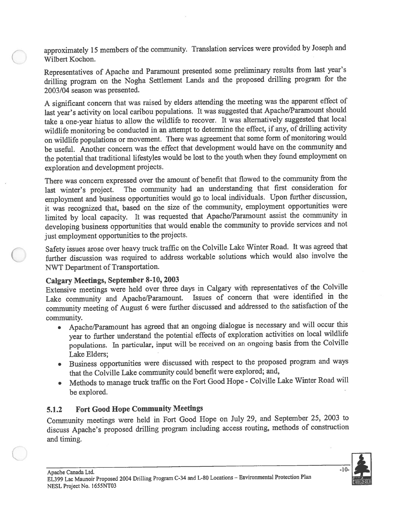approximately 15 members of the community. Translation services were provided by Joseph and Wilbert Kochon.

Representatives of Apache and Paramount presented some preliminary results from last year's drilling program on the Nogha Settlement Lands and the propose<sup>d</sup> drilling program for the 2003/04 season was presented.

<sup>A</sup> significant concern that was raised by elders attending the meeting was the apparen<sup>t</sup> effect of last year's activity on local caribou populations. It was suggested that Apache/Paramount should take <sup>a</sup> one-year hiatus to allow the wildlife to recover. It was alternatively suggested that local wildlife monitoring be conducted in an attempt to determine the effect, if any, of drilling activity on wildlife populations or movement. There was agreemen<sup>t</sup> that some form of monitoring would be useful. Another concern was the effect that development would have on the community and the potential that traditional lifestyles would be lost to the youth when they found employment on exploration and development projects.

There was concern expresse<sup>d</sup> over the amount of benefit that flowed to the community from the last winter's project. The community had an understanding that first consideration for employment and business opportunities would go to local individuals. Upon further discussion, it was recognized that, based on the size of the community, employment opportunities were limited by local capacity. It was requested that Apache/Paramount assist the community in developing business opportunities that would enable the community to provide services and not just employment opportunities to the projects.

Safety issues arose over heavy truck traffic on the Colville Lake Winter Road. It was agree<sup>d</sup> that further discussion was required to address workable solutions which would also involve the NWT Department of Transportation.

#### Calgary Meetings, September 8-10, <sup>2003</sup>

Extensive meetings were held over three days in Calgary with representatives of the Colville Lake community and Apache/Paramount. Issues of concern that were identified in the Lake community and Apache/Paramount. community meeting of August <sup>6</sup> were further discussed and addressed to the satisfaction of the community.

- Apache/Paramount has agree<sup>d</sup> that an ongoing dialogue is necessary and will occur this  $\bullet$ year to further understand the potential effects of exploration activities on local wildlife populations. In particular, input will be received on an ongoing basis from the Colville Lake Elders;
- Business opportunities were discussed with respec<sup>t</sup> to the propose<sup>d</sup> program and ways that the Colville Lake community could benefit were explored; and,
- • Methods to manage truck traffic on the Fort Good Hope - Colville Lake Winter Road will be explored.

## 5.1.2 Fort Good Hope Community Meetings

Community meetings were held in Fort Good Hope on July 29, and September 25, <sup>2003</sup> to discuss Apache's propose<sup>d</sup> drilling program including access routing, methods of construction and timing.

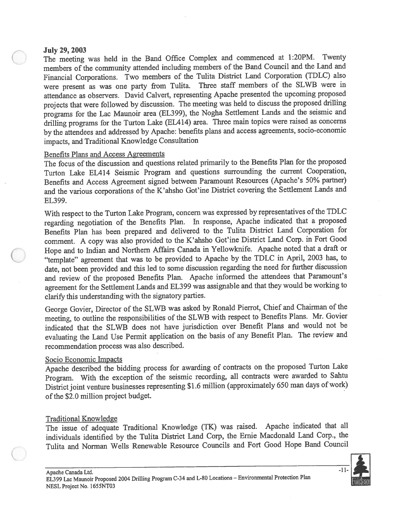#### July 29, 2003

The meeting was held in the Band Office Complex and commenced at 1:20PM. Twenty members of the community attended including members of the Band Council and the Land and Financial Corporations. Two members of the Tulita District Land Corporation (TDLC) also were presen<sup>t</sup> as was one party from Tulita. Three staff members of the SLWB were in attendance as observers. David Calvert, representing Apache presented the upcoming propose<sup>d</sup> projects that were followed by discussion. The meeting was held to discuss the proposed drilling programs for the Lac Maunoir area (EL399), the Nogha Settlement Lands and the seismic and drilling programs for the Turton Lake (EL414) area. Three main topics were raised as concerns by the attendees and addressed by Apache: benefits <sup>p</sup>lans and access agreements, socio-economic impacts, and Traditional Knowledge Consultation

#### Benefits Plans and Access Agreements

The focus of the discussion and questions related primarily to the Benefits Plan for the propose<sup>d</sup> Turton Lake EL414 Seismic Program and questions surrounding the current Cooperation, Benefits and Access Agreement signed between Paramount Resources (Apache's 50% partner) and the various corporations of the K'ahsho Got'ine District covering the Settlement Lands and EL399.

With respect to the Turton Lake Program, concern was expressed by representatives of the TDLC regarding negotiation of the Benefits Plan. In response, Apache indicated that <sup>a</sup> propose<sup>d</sup> Benefits Plan has been prepare<sup>d</sup> and delivered to the Tulita District Land Corporation for comment. <sup>A</sup> copy was also provided to the K'ahsho Got'ine District Land Corp. in Fort Good Hope and to Indian and Northern Affairs Canada in Yellowknife. Apache noted that <sup>a</sup> draft or "template" agreemen<sup>t</sup> that was to be provided to Apache by the TDLC in April, <sup>2003</sup> has, to date, not been provided and this led to some discussion regarding the need for further discussion and review of the propose<sup>d</sup> Benefits Plan. Apache informed the attendees that Paramount's agreemen<sup>t</sup> for the Settlement Lands and EL399 was assignable and that they would be working to clarify this understanding with the signatory parties.

George Govier, Director of the SLWB was asked by Ronald Pierrot, Chief and Chairman of the meeting, to outline the responsibilities of the SLWB with respec<sup>t</sup> to Benefits Plans. Mr. Govier indicated that the SLWB does not have jurisdiction over Benefit Plans and would not be evaluating the Land Use Permit application on the basis of any Benefit Plan. The review and recommendation process was also described.

#### Socio Economic Impacts

Apache described the bidding process for awarding of contracts on the propose<sup>d</sup> Turton Lake Program. With the exception of the seismic recording, all contracts were awarded to Sahtu District joint venture businesses representing \$1.6 million (approximately 650 man days of work) of the \$2.0 million project budget.

#### Traditional Knowledge

The issue of adequate Traditional Knowledge (TK) was raised. Apache indicated that all individuals identified by the Tulita District Land Corp, the Ernie Macdonald Land Corp., the Tulita and Norman Wells Renewable Resource Councils and Fort Good Hope Band Council

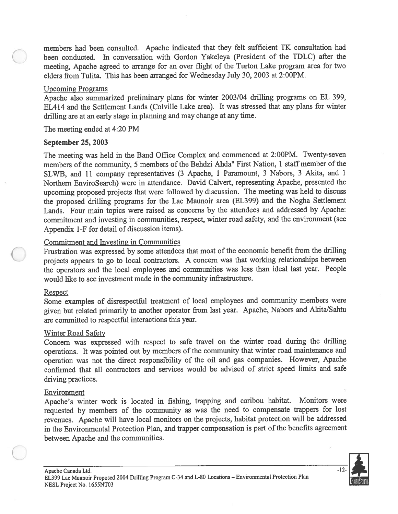members had been consulted. Apache indicated that they felt sufficient TK consultation had been conducted. In conversation with Gordon Yakeleya (President of the TDLC) after the meeting, Apache agree<sup>d</sup> to arrange for an over flight of the Turton Lake program area for two elders from Tulita. This has been arranged for Wednesday July 30, 2003 at 2:00PM.

#### Upcoming Programs

Apache also summarized preliminary <sup>p</sup>lans for winter 2003/04 drilling programs on EL 399, EL414 and the Settlement Lands (Colville Lake area). It was stressed that any plans for winter drilling are at an early stage in <sup>p</sup>lanning and may change at any time.

The meeting ended at 4:20 PM

#### September 25, 2003

The meeting was held in the Band Office Complex and commenced at 2:00PM. Twenty-seven members of the community, <sup>5</sup> members of the Behdzi Ahda" First Nation, <sup>1</sup> staff member of the SLWB, and <sup>11</sup> company representatives (3 Apache, <sup>1</sup> Paramount, <sup>3</sup> Nabors, <sup>3</sup> Akita, and <sup>1</sup> Northern EnviroSearch) were in attendance. David Calvert, representing Apache, presented the upcoming propose<sup>d</sup> projects that were followed by discussion. The meeting was held to discuss the propose<sup>d</sup> drilling programs for the Lac Maunoir area (EL399) and the Nogha Settlement Lands. Four main topics were raised as concerns by the attendees and addressed by Apache: commitment and investing in communities, respect, winter road safety, and the environment (see Appendix 1-F for detail of discussion items). members had hean consulted. Agache indicated that they felt sofficient TK consultation had<br>non-conductor. In conversation with Gordon Yakeleya (Praisident of the TDLC) sflare the<br>noncions, Apache agreed to arrange for whe

#### Commitment and Investing in Communities

Frustration was expresse<sup>d</sup> by some attendees that most of the economic benefit from the drilling projects appears to go to local contractors. <sup>A</sup> concern was that working relationships between the operators and the local employees and communities was less than ideal last year. People would like to see investment made in the community infrastructure.

#### Respect

Some examples of disrespectful treatment of local employees and community members were <sup>g</sup>iven but related primarily to another operator from last year. Apache, Nabors and AkitalSahtu are committed to respectful interactions this year.

#### Winter Road Safety

Concern was expresse<sup>d</sup> with respec<sup>t</sup> to safe travel on the winter road during the drilling operations. It was pointed out by members of the community that winter road maintenance and operation was not the direct responsibility of the oil and gas companies. However, Apache confirmed that all contractors and services would be advised of strict speed limits and safe driving practices.

#### Environment

Apache's winter work is located in fishing, trapping and caribou habitat. Monitors were requested by members of the community as was the need to compensate trappers for lost revenues. Apache will have local monitors on the projects, habitat protection will be addressed in the Environmental Protection Plan, and trapper compensation is part of the benefits agreement between Apache and the communities.

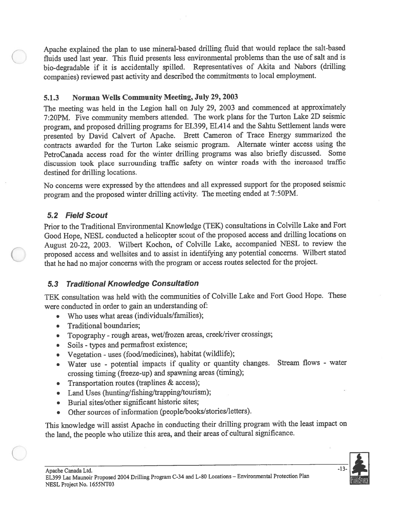Apache explained the <sup>p</sup>lan to use mineral-based drilling fluid that would replace the salt-based fluids used last year. This fluid presents less environmental problems than the use of salt and is bio-degradable if it is accidentally spilled. Representatives of Akita and Nabors (drilling companies) reviewed pas<sup>t</sup> activity and described the commitments to local employment.

## 5.1.3 Norman Wells Community Meeting, July 29, 2003

The meeting was held in the Legion hail on July 29, <sup>2003</sup> and commenced at approximately 7:20PM. Five community members attended. The work <sup>p</sup>lans for the Turton Lake 2D seismic program, and propose<sup>d</sup> drilling programs for EL399, EL414 and the Sahtu Settlement lands were presented by David Calvert of Apache. Brett Cameron of Trace Energy summarized the contracts awarded for the Turton Lake seismic program. Alternate winter access using the PetroCanada access road for the winter drilling programs was also briefly discussed. Some discussion took <sup>p</sup>lace surrounding traffic safety on winter roads with the increased traffic destined for drilling locations.

No concerns were expresse<sup>d</sup> by the attendees and all expresse<sup>d</sup> suppor<sup>t</sup> for the propose<sup>d</sup> seismic program and the propose<sup>d</sup> winter drilling activity. The meeting ended at 7:50PM.

# 5.2 Field Scout

Prior to the Traditional Environmental Knowledge (TEK) consultations in Colville Lake and Fort Good Hope, NESL conducted <sup>a</sup> helicopter scout of the propose<sup>d</sup> access and drilling locations on August 20-22, 2003. Wilbert Kochon, of Colville Lake, accompanied NESL to review the proposed access and wellsites and to assist in identifying any potential concerns. Wilbert stated that he had no major concerns with the program or access routes selected for the project.

# 5.3 Traditional Knowledge Consultation

TEK consultation was held with the communities of Colville Lake and Fort Good Hope. These were conducted in order to gain an understanding of:

- •Who uses what areas (individuals/families);
- •Traditional boundaries;
- Topography roug<sup>h</sup> areas, wet/frozen areas, creek/river crossings;
- Soils types and permafrost existence;
- •Vegetation - uses (food/medicines), habitat (wildlife);
- • Water use - potential impacts if quality or quantity changes. Stream flows - water crossing timing (freeze-up) and spawning areas (timing);
- •Transportation routes (traplines & access);
- Land Uses (hunting/fishing/trapping/tourism);
- •Burial sites/other significant historic sites;
- •Other sources of information (people/books/stories/letters).

This knowledge will assist Apache in conducting their drilling program with the least impact on the land, the people who utilize this area, and their areas of cultural significance.

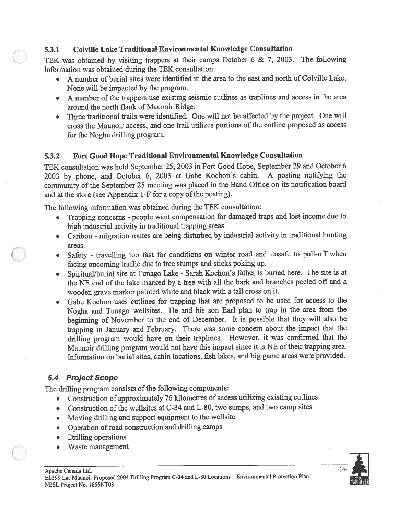#### 5.3.1 ColvilIe Lake Traditional Environmental Knowledge Consultation

TEK was obtained by visiting trappers at their camps October 6 & 7, 2003. The following information was obtained during the TEK consultation:

- • A number of burial sites were identified in the area to the east and north of Colville Lake. None will be impacted by the program.
- <sup>A</sup> number of the trappers use existing seismic cutlines as traplines and access in the area around the north flank of Maunoir Ridge.
- • Three traditional trails were identified. One will not be affected by the project. One will cross the Maunoir access, and one trail utilizes portions of the cutline proposed as access for the Nogha drilling program.

#### 5.3.2 Fort Good Hope Traditional Environmental Knowledge Consultation

TEK consultation was held September 25, <sup>2003</sup> in Fort Good Hope, September <sup>29</sup> and October <sup>6</sup> <sup>2003</sup> by <sup>p</sup>hone, and October 6, <sup>2003</sup> at Gabe Kochon's cabin. <sup>A</sup> posting notifying the community of the September <sup>25</sup> meeting was <sup>p</sup>laced in the Band Office on its notification board and at the store (see Appendix 1-F for <sup>a</sup> copy of the posting).

The following information was obtained during the TEK consultation:

- •Trapping concerns - people want compensation for damaged traps and lost income due to high industrial activity in traditional trapping areas.
- Caribou migration routes are being disturbed by industrial activity in traditional hunting areas.
- Safety travelling too fast for conditions on winter road and unsafe to pull-off when facing oncoming traffic due to tree stumps and sticks poking up.
- • Spiritual/burial site at Tunago Lake - Sarah Kochon's father is buried here. The site is at the NE end of the lake marked by <sup>a</sup> tree with all the bark and branches peeled off and <sup>a</sup> wooden grave marker painted white and black with <sup>a</sup> tall cross on it.
- • Gabe Kochon uses cutlines for trapping that are propose<sup>d</sup> to be used for access to the Nogha and Tunago wellsites. He and his son Earl <sup>p</sup>lan to trap in the area from the beginning of November to the end of December. It is possible that they will also be trapping in January and February. There was some concern about the impact that the drilling program would have on their traplines. However, it was confirmed that the Maunoir drilling program would not have this impact since it is NE of their trapping area. Information on burial sites, cabin locations, fish lakes, and big game areas were provided.

## 5.4 Project Scope

The drilling program consists of the following components:

- Construction of approximately <sup>76</sup> kilometres of access utilizing existing cutlines
- Construction of the wellsites at C-34 and L-80, two sumps, and two camp sites
- •Moving drilling and suppor<sup>t</sup> equipment to the wellsite
- Operation of road construction and drilling camps
- •Drilling operations
- •Waste managemen<sup>t</sup>

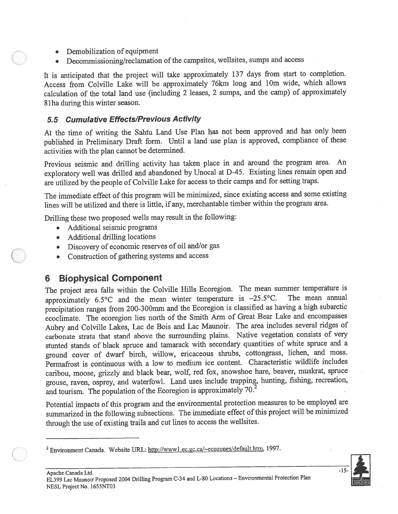- •Demobilization of equipment
- •Decommissioning/reclamation of the campsites, wellsites, sumps and access

It is anticipated that the project will take approximately <sup>137</sup> days from start to completion. Access from Colville Lake will be approximately 76km long and lOm wide, which allows calculation of the total land use (including <sup>2</sup> leases, <sup>2</sup> sumps, and the camp) of approximately 8lha during this winter season.

# 5.5 Cumulative Effects/Previous Activity

At the time of writing the Sahtu Land Use Plan has not been approve<sup>d</sup> and has only been published in Preliminary Draft form. Until <sup>a</sup> land use <sup>p</sup>lan is approved, compliance of these activities with the <sup>p</sup>lan cannot be determined.

Previous seismic and drilling activity has taken <sup>p</sup>lace in and around the program area. An exploratory well was drilled and abandoned by Unocal at D-45. Existing lines remain open and are utilized by the people of Colville Lake for access to their camps and for setting traps.

The immediate effect of this program will be minimized, since existing access and some existing lines will be utilized and there is little, if any, merchantable timber within the program area.

Drilling these two propose<sup>d</sup> wells may result in the following:

- Additional seismic programs
- Additional drilling locations
- Discovery of economic reserves of oil and/or gas
- Construction of gathering systems and access

# 6 Biophysical Component

The project area falls within the Colville Hills Ecoregion. The mean summer temperature is approximately  $65^{\circ}$ C and the mean winter temperature is  $-25.5^{\circ}$ C. The mean annual approximately  $6.5^{\circ}$ C and the mean winter temperature is  $-25.5^{\circ}$ C. precipitation ranges from 200-300mm and the Ecoregion is classified as having <sup>a</sup> high subarctic ecoclimate. The ecoregion lies north of the Smith Arm of Great Bear Lake and encompasses Aubry and Colville Lakes, Lac de Bois and Lac Maunoir. The area includes several ridges of carbonate strata that stand above the surrounding <sup>p</sup>lains. Native vegetation consists of very stunted stands of black spruce and tamarack with secondary quantities of white spruce and <sup>a</sup> groun<sup>d</sup> cover of dwarf birch, willow, ericaceous shrubs, cottongrass, lichen, and moss. Permafrost is continuous with <sup>a</sup> low to medium ice content. Characteristic wildlife includes caribou, moose, grizzly and black bear, wolf, red fox, snowshoe hare, beaver, muskrat, spruce grouse, raven, osprey, and waterfowl. Land uses include trapping, hunting, fishing, recreation, and tourism. The population of the Ecoregion is approximately  $70<sup>2</sup>$ 

Potential impacts of this program and the environmental protection measures to be employed are summarized in the following subsections. The immediate effect of this project will be minimized through the use of existing trails and cut lines to access the weilsites.



<sup>&</sup>lt;sup>2</sup> Environment Canada. Website URL: http://www1.ec.gc.ca/~ecozones/default.htm, 1997.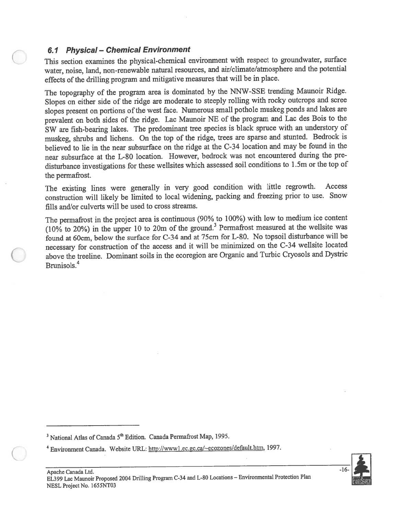#### 6.1 Physical — Chemical Environment

This section examines the <sup>p</sup>hysical-chemical environment with respec<sup>t</sup> to groundwater, surface water, noise, land, non-renewable natural resources, and air/climate/atmosphere and the potential effects of the drilling program and mitigative measures that will be in place.

The topography of the program area is dominated by the NNW-SSE trending Maunoir Ridge. Slopes on either side of the ridge are moderate to steeply rolling with rocky outcrops and scree slopes present on portions of the west face. Numerous small pothole muskeg ponds and lakes are prevalent on both sides of the ridge. Lac Maunoir NE of the program and Lac des Bois to the SW are fish-bearing lakes. The predominant tree species is black spruce with an understory of muskeg, shrubs and lichens. On the top of the ridge, trees are sparse and stunted. Bedrock is believed to lie in the near subsurface on the ridge at the C-34 location and may be found in the near subsurface at the L-80 location. However, bedrock was not encountered during the pre disturbance investigations for these weilsites which assessed soil conditions to <sup>1</sup> .5m or the top of the permafrost.

The existing lines were generally in very goo<sup>d</sup> condition with little regrowth. Access construction will likely be limited to local widening, packing and freezing prior to use. Snow fills and/or culverts will be used to cross streams.

The permafrost in the project area is continuous (90% to 100%) with low to medium ice content  $(10\%$  to 20%) in the upper 10 to 20m of the ground.<sup>3</sup> Permafrost measured at the wellsite was found at 60cm, below the surface for C-34 and at 75cm for L-80. No topsoil disturbance will be necessary for construction of the access and it will be minimized on the C-34 wellsite located above the treeline. Dominant soils in the ecoregion are Organic and Turbic Cryosols and Dystric Brunisols. 4

<sup>3</sup> National Atlas of Canada  $5<sup>th</sup>$  Edition. Canada Permafrost Map, 1995.



<sup>&</sup>lt;sup>4</sup> Environment Canada. Website URL: http://www1.ec.gc.ca/~ecozones/default.htm, 1997.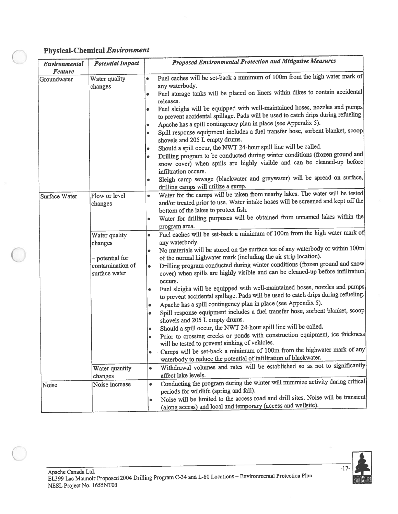#### Physical-Chemical Environment

| Environmental<br><b>Feature</b> | <b>Potential Impact</b>                                                          | <b>Proposed Environmental Protection and Mitigative Measures</b>                                                                                                                                                                                                                                                                                                                                                                                                                                                                                                                                                                                                                                                                                                                                                                                                                                                                                                                                                                                                                                                                                                                                                        |
|---------------------------------|----------------------------------------------------------------------------------|-------------------------------------------------------------------------------------------------------------------------------------------------------------------------------------------------------------------------------------------------------------------------------------------------------------------------------------------------------------------------------------------------------------------------------------------------------------------------------------------------------------------------------------------------------------------------------------------------------------------------------------------------------------------------------------------------------------------------------------------------------------------------------------------------------------------------------------------------------------------------------------------------------------------------------------------------------------------------------------------------------------------------------------------------------------------------------------------------------------------------------------------------------------------------------------------------------------------------|
| Groundwater                     | Water quality<br>changes                                                         | Fuel caches will be set-back a minimum of 100m from the high water mark of<br>$\bullet$<br>any waterbody.<br>Fuel storage tanks will be placed on liners within dikes to contain accidental<br>۰<br>releases.<br>Fuel sleighs will be equipped with well-maintained hoses, nozzles and pumps<br>۰<br>to prevent accidental spillage. Pads will be used to catch drips during refueling.<br>Apache has a spill contingency plan in place (see Appendix 5).<br>۰<br>Spill response equipment includes a fuel transfer hose, sorbent blanket, scoop<br>۰<br>shovels and 205 L empty drums.<br>Should a spill occur, the NWT 24-hour spill line will be called.<br>٠<br>Drilling program to be conducted during winter conditions (frozen ground and<br>$\bullet$<br>snow cover) when spills are highly visible and can be cleaned-up before<br>infiltration occurs.<br>Sleigh camp sewage (blackwater and greywater) will be spread on surface,<br>۰                                                                                                                                                                                                                                                                       |
| Surface Water                   | Flow or level<br>changes                                                         | drilling camps will utilize a sump.<br>Water for the camps will be taken from nearby lakes. The water will be tested<br>and/or treated prior to use. Water intake hoses will be screened and kept off the<br>bottom of the lakes to protect fish.<br>Water for drilling purposes will be obtained from unnamed lakes within the<br>٠<br>program area.                                                                                                                                                                                                                                                                                                                                                                                                                                                                                                                                                                                                                                                                                                                                                                                                                                                                   |
|                                 | Water quality<br>changes<br>- potential for<br>contamination of<br>surface water | Fuel caches will be set-back a minimum of 100m from the high water mark of<br>$\bullet$<br>any waterbody.<br>No materials will be stored on the surface ice of any waterbody or within 100m<br>$\bullet$<br>of the normal highwater mark (including the air strip location).<br>Drilling program conducted during winter conditions (frozen ground and snow<br>$\bullet$<br>cover) when spills are highly visible and can be cleaned-up before infiltration<br>occurs.<br>Fuel sleighs will be equipped with well-maintained hoses, nozzles and pumps<br>۰<br>to prevent accidental spillage. Pads will be used to catch drips during refueling.<br>Apache has a spill contingency plan in place (see Appendix 5).<br>٠<br>Spill response equipment includes a fuel transfer hose, sorbent blanket, scoop<br>۰<br>shovels and 205 L empty drums.<br>Should a spill occur, the NWT 24-hour spill line will be called.<br>۰<br>Prior to crossing creeks or ponds with construction equipment, ice thickness<br>will be tested to prevent sinking of vehicles.<br>Camps will be set-back a minimum of 100m from the highwater mark of any<br>$\bullet$<br>waterbody to reduce the potential of infiltration of blackwater. |
|                                 | Water quantity<br>changes                                                        | Withdrawal volumes and rates will be established so as not to significantly<br>$\bullet$<br>affect lake levels.                                                                                                                                                                                                                                                                                                                                                                                                                                                                                                                                                                                                                                                                                                                                                                                                                                                                                                                                                                                                                                                                                                         |
| Noise                           | Noise increase                                                                   | Conducting the program during the winter will minimize activity during critical<br>$\bullet$<br>periods for wildlife (spring and fall).<br>Noise will be limited to the access road and drill sites. Noise will be transient<br>٠<br>(along access) and local and temporary (access and wellsite).                                                                                                                                                                                                                                                                                                                                                                                                                                                                                                                                                                                                                                                                                                                                                                                                                                                                                                                      |

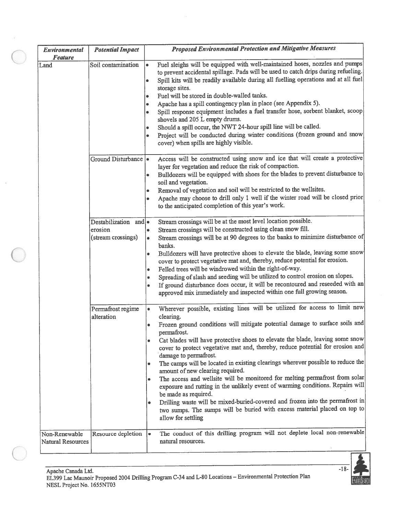| Environmental<br><b>Feature</b>           | <b>Potential Impact</b>                                | <b>Proposed Environmental Protection and Mitigative Measures</b>                                                                                                                                                                                                                                                                                                                                                                                                                                                                                                                                                                                                                                                                                                                                                                                                                                                        |
|-------------------------------------------|--------------------------------------------------------|-------------------------------------------------------------------------------------------------------------------------------------------------------------------------------------------------------------------------------------------------------------------------------------------------------------------------------------------------------------------------------------------------------------------------------------------------------------------------------------------------------------------------------------------------------------------------------------------------------------------------------------------------------------------------------------------------------------------------------------------------------------------------------------------------------------------------------------------------------------------------------------------------------------------------|
| Land                                      | Soil contamination                                     | Fuel sleighs will be equipped with well-maintained hoses, nozzles and pumps<br>$\bullet$<br>to prevent accidental spillage. Pads will be used to catch drips during refueling.<br>Spill kits will be readily available during all fuelling operations and at all fuel<br>٠<br>storage sites.<br>Fuel will be stored in double-walled tanks.<br>Apache has a spill contingency plan in place (see Appendix 5).<br>$\bullet$<br>Spill response equipment includes a fuel transfer hose, sorbent blanket, scoop<br>$\bullet$<br>shovels and 205 L empty drums.<br>Should a spill occur, the NWT 24-hour spill line will be called.<br>Project will be conducted during winter conditions (frozen ground and snow<br>cover) when spills are highly visible.                                                                                                                                                                 |
|                                           | Ground Disturbance   •                                 | Access will be constructed using snow and ice that will create a protective<br>layer for vegetation and reduce the risk of compaction.<br>Bulldozers will be equipped with shoes for the blades to prevent disturbance to<br>soil and vegetation.<br>Removal of vegetation and soil will be restricted to the wellsites.<br>Apache may choose to drill only 1 well if the winter road will be closed prior<br>to the anticipated completion of this year's work.                                                                                                                                                                                                                                                                                                                                                                                                                                                        |
|                                           | Destabilization and .<br>erosion<br>(stream crossings) | Stream crossings will be at the most level location possible.<br>Stream crossings will be constructed using clean snow fill.<br>۰<br>Stream crossings will be at 90 degrees to the banks to minimize disturbance of<br>banks.<br>Bulldozers will have protective shoes to elevate the blade, leaving some snow<br>۰<br>cover to protect vegetative mat and, thereby, reduce potential for erosion.<br>Felled trees will be windrowed within the right-of-way.<br>$\bullet$<br>Spreading of slash and seeding will be utilized to control erosion on slopes.<br>۰<br>If ground disturbance does occur, it will be recontoured and reseeded with an<br>۰<br>approved mix immediately and inspected within one full growing season.                                                                                                                                                                                        |
|                                           | Permafrost regime<br>alteration                        | Wherever possible, existing lines will be utilized for access to limit new<br>$\bullet$<br>clearing.<br>Frozen ground conditions will mitigate potential damage to surface soils and<br>permafrost.<br>Cat blades will have protective shoes to elevate the blade, leaving some snow<br>۰<br>cover to protect vegetative mat and, thereby, reduce potential for erosion and<br>damage to permafrost.<br>The camps will be located in existing clearings wherever possible to reduce the<br>٠<br>amount of new clearing required.<br>The access and wellsite will be monitored for melting permafrost from solar<br>٠<br>exposure and rutting in the unlikely event of warming conditions. Repairs will<br>be made as required.<br>Drilling waste will be mixed-buried-covered and frozen into the permafrost in<br>۰<br>two sumps. The sumps will be buried with excess material placed on top to<br>allow for settling |
| Non-Renewable<br><b>Natural Resources</b> | Resource depletion                                     | The conduct of this drilling program will not deplete local non-renewable<br>۰<br>natural resources.                                                                                                                                                                                                                                                                                                                                                                                                                                                                                                                                                                                                                                                                                                                                                                                                                    |

 $\left\vert \left( \xi \right) \right\vert$ 

 $\langle \hat{A} \rangle$ 

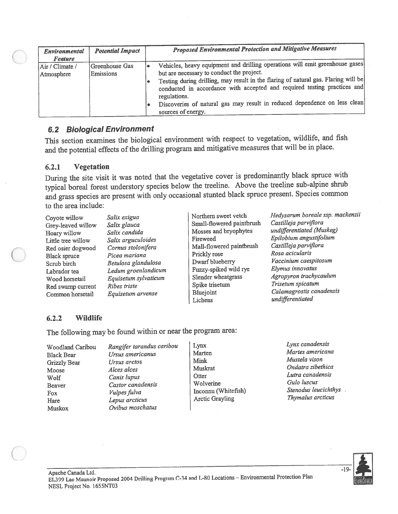| Environmental<br><b>Feature</b> | <b>Potential Impact</b>     | <b>Proposed Environmental Protection and Mitigative Measures</b>                                                                                                                                                                                                                                                                                                                                               |
|---------------------------------|-----------------------------|----------------------------------------------------------------------------------------------------------------------------------------------------------------------------------------------------------------------------------------------------------------------------------------------------------------------------------------------------------------------------------------------------------------|
| Air / Climate /<br>Atmosphere   | Greenhouse Gas<br>Emissions | Vehicles, heavy equipment and drilling operations will emit greenhouse gases<br>but are necessary to conduct the project.<br>Testing during drilling, may result in the flaring of natural gas. Flaring will be<br>conducted in accordance with accepted and required testing practices and<br>regulations.<br>Discoveries of natural gas may result in reduced dependence on less clean<br>sources of energy. |

#### 6.2 Biological Environment

This section examines the biological environment with respec<sup>t</sup> to vegetation, wildlife, and fish and the potential effects of the drilling program and mitigative measures that will be in place.

#### 6.2.1 Vegetation

During the site visit it was noted that the vegetative cover is predominantly black spruce with typical boreal forest understory species below the treeline. Above the treeline sub-alpine shrub and grass species are presen<sup>t</sup> with only occasional stunted black spruce present. Species common to the area include:

- 
- Red swamp current Ribes triste Spike trise<br>Common horsetail Equisetum arvense Bluejoint
- Grey-leaved willow Salix glauca Small-flowered paintbrush Castilleja parviflora<br>Small-Small-flowered paintbrush Castilleja parviflora<br>Mosses and bryophytes undifferentiated (Muskeg) Hoary willow Salix candida Mosses and bryophytes<br>
Little tree willow Salix arguculoides Fireweed Little tree willow Salix arguculoides Fireweed Epilobium angustifolium<br>
Red osier doowood Cornus stolonifera Mall-flowered paintbrush Castilleja parviflora Red osier dogwood Cornus stolonifera Mall-flowered paintbrush Castilleja parvi<br>Register Picea mariana Prickly rose Rosa acicularis Black spruce Picea mariana Prickly rose Rosa acicularis Black spruce Picea mariana<br>
Scrub birch Betulosa glandulosa Dwarf blueberry Vaccinium caespitosum<br>
Ledum groenlandicum<br>
Dwarf blueberry Vaccinium caespitosum<br>
Fuzzy-spiked wild rye Elymus innovatus Labrador tea Ledum groenlandicum Fuzzy-spiked wild rye Elymus innovatus<br>Wood horsetail Equisetum sylvaticum Slender wheatgrass Agropyron trachycaulum Wood horsetail Equisetum sylvaticum Slender wheatgrass Agropyron trachycaulum Spice is the Spike trisetum Spice in Trisetum spicatum Common horsetail Equisetum arvense Bluejoint Calamagrostis canadensis<br>
Lichens undifferentiated

Coyote willow Salix exigua Northern sweet vetch Hedysarum boreale ssp. mackenzii<br>Casy lowed willow Salix glauge Small-flowered paintbrush Castilleja parviflora undifferentiated

#### 6.2.2 Wildlife

The following may be found within or near the program area:

| Woodland Caribou | Rangifer tarandus caribou | Lynx                   | Lynx canaaensis  |
|------------------|---------------------------|------------------------|------------------|
| Black Bear       | Ursus americanus          | Marten                 | Martes american  |
| Grizzly Bear     | Ursus arctos              | Mink                   | Mustela vison    |
| Moose            | Alces alces               | Muskrat                | Ondatra zibethic |
| Wolf             | Canis lupus               | Otter                  | Lutra canadensis |
| <b>Beaver</b>    | Castor canadensis         | Wolverine              | Gulo luscus      |
| Fox              | Vulpes fulva              | Inconnu (Whitefish)    | Stenodus leucich |
| Hare             | Lepus arcticus            | <b>Arctic Grayling</b> | Thymalus arcticu |
| Muskox           | Ovibus moschatus          |                        |                  |
|                  |                           |                        |                  |

ngifer tarandus caribou  $\Big|\begin{array}{ccc} \text{Lynx} & \text{Lynx}} & \text{Lynx} \\ \text{Marten} & \text{Martex} & \text{Martey} \end{array}$ Express americanus Marten Marten Martes americana Martes Antes Antes americana Martes americana Mustela vison Moore A ices alces and the music example of the Muskrat Changes alces and the Dutter of A intervalse Changes and Dutter and Dutter and Dutter and Dutter and Dutter and Dutter and Dutter and Dutter and Dutter and Dutter and *Ipes fulva* Inconnu (Whitefish) Stenodus leucichth<br>nus arcticus Arctic Gravling Thymalus arcticus

nis lupus<br>stor canadensis <br>later Culo luscus<br>later Culo luscus (Whitefish) Stenodus leucichthys

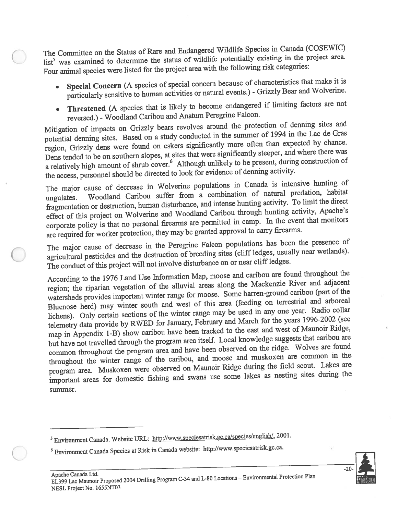The Committee on the Status of Rare and Endangered Wildlife Species in Canada (COSEWIC) list<sup>5</sup> was examined to determine the status of wildlife potentially existing in the project area. Four animal species were listed for the project area with the following risk categories:

- • Special Concern (A species of special concern because of characteristics that make it is particularly sensitive to human activities or natural events.) - Grizzly Bear and Wolverine.
- • Threatened (A species that is likely to become endangered if limiting factors are not reversed.) -Woodland Caribou and Anatum Peregrine Falcon.

Mitigation of impacts on Grizzly bears revolves around the protection of denning sites and potential denning sites. Based on <sup>a</sup> study conducted in the summer of <sup>1994</sup> in the Lac de Gras region, Grizzly dens were found on eskers significantly more often than expected by chance. Dens tended to be on southern slopes, at sites that were significantly steeper, and where there was a relatively high amount of shrub cover.<sup>6</sup> Although unlikely to be present, during construction of the access, personne<sup>l</sup> should be directed to look for evidence of denning activity.

The major cause of decrease in Wolverine populations in Canada is intensive hunting of ungulates. Woodland Caribou suffer from a combination of natural predation, habitat fragmentation or destruction, human disturbance, and intense hunting activity. To limit the direct effect of this project on Wolverine and Woodland Caribou through hunting activity, Apache's corporate policy is that no persona<sup>l</sup> firearms are permitted in camp. In the event that monitors are required for worker protection, they may be granted approva<sup>l</sup> to carry firearms.

The major cause of decrease in the Peregrine Falcon populations has been the presence of agricultural pesticides and the destruction of breeding sites (cliff ledges, usually near wetlands). The conduct of this project will not involve disturbance on or near cliff ledges.

According to the <sup>1976</sup> Land Use Information Map, moose and caribou are found throughout the region; the riparian vegetation of the alluvial areas along the Mackenzie River and adjacent watersheds provides important winter range for moose. Some barren-groun<sup>d</sup> caribou (part of the Bluenose herd) may winter south and west of this area (feeding on terrestrial and arboreal lichens). Only certain sections of the winter range may be used in any one year. Radio collar telemetry data provide by RWED for January, February and March for the years 1996-2002 (see map in Appendix 1-B) show caribou have been tracked to the east and west of Maunoir Ridge, but have not travelled through the program area itself. Local knowledge suggests that caribou are common throughout the program area and have been observed on the ridge. Wolves are found throughout the winter range of the caribou, and moose and muskoxen are common in the program area. Muskoxen were observed on Maunoir Ridge during the field scout. Lakes are important areas for domestic fishing and swans use some lakes as nesting sites during the summer.



Environment Canada. Website URL: http://www.speciesatrisk.gc.ca/species/englishl, 2001.

<sup>6</sup> Environment Canada Species at Risk in Canada website: http://www.speciesatrisk.gc.ca.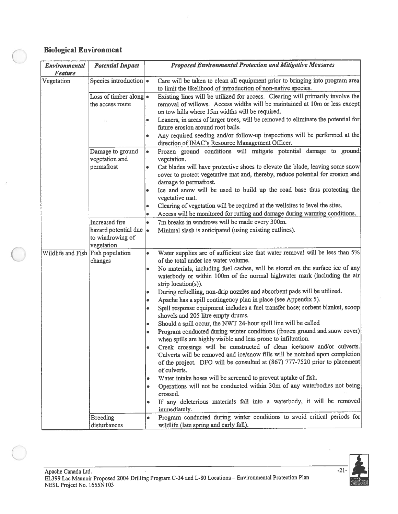## Biological Environment

| Environmental<br><b>Feature</b>   | <b>Potential Impact</b>                                                  | <b>Proposed Environmental Protection and Mitigative Measures</b>                                                                                                                                                                                         |
|-----------------------------------|--------------------------------------------------------------------------|----------------------------------------------------------------------------------------------------------------------------------------------------------------------------------------------------------------------------------------------------------|
| Vegetation                        | Species introduction $\cdot$                                             | Care will be taken to clean all equipment prior to bringing into program area<br>to limit the likelihood of introduction of non-native species.                                                                                                          |
|                                   | Loss of timber along $\bullet$<br>the access route                       | Existing lines will be utilized for access. Clearing will primarily involve the<br>removal of willows. Access widths will be maintained at 10m or less except<br>on tow hills where 15m widths will be required.                                         |
|                                   |                                                                          | Leaners, in areas of larger trees, will be removed to eliminate the potential for<br>$\bullet$<br>future erosion around root balls.                                                                                                                      |
|                                   |                                                                          | Any required seeding and/or follow-up inspections will be performed at the<br>$\bullet$<br>direction of INAC's Resource Management Officer.                                                                                                              |
|                                   | Damage to ground<br>vegetation and                                       | Frozen ground conditions will mitigate potential damage to ground<br>$\bullet$<br>vegetation.                                                                                                                                                            |
|                                   | permafrost                                                               | Cat blades will have protective shoes to elevate the blade, leaving some snow<br>$\bullet$<br>cover to protect vegetative mat and, thereby, reduce potential for erosion and<br>damage to permafrost.                                                    |
|                                   |                                                                          | Ice and snow will be used to build up the road base thus protecting the<br>$\bullet$<br>vegetative mat.                                                                                                                                                  |
|                                   |                                                                          | Clearing of vegetation will be required at the wellsites to level the sites.<br>۰<br>Access will be monitored for rutting and damage during warming conditions.<br>$\bullet$                                                                             |
|                                   | Increased fire<br>hazard potential due<br>to windrowing of<br>vegetation | 7m breaks in windrows will be made every 300m.<br>$\bullet$<br>Minimal slash is anticipated (using existing cutlines).                                                                                                                                   |
| Wildlife and Fish Fish population | changes                                                                  | Water supplies are of sufficient size that water removal will be less than 5%<br>$\bullet$<br>of the total under ice water volume.                                                                                                                       |
|                                   |                                                                          | No materials, including fuel caches, will be stored on the surface ice of any<br>$\bullet$<br>waterbody or within 100m of the normal highwater mark (including the air<br>strip location(s)).                                                            |
|                                   |                                                                          | During refuelling, non-drip nozzles and absorbent pads will be utilized.<br>٠<br>Apache has a spill contingency plan in place (see Appendix 5).<br>۰                                                                                                     |
|                                   |                                                                          | Spill response equipment includes a fuel transfer hose; sorbent blanket, scoop<br>۰<br>shovels and 205 litre empty drums.                                                                                                                                |
|                                   |                                                                          | Should a spill occur, the NWT 24-hour spill line will be called<br>۰                                                                                                                                                                                     |
|                                   |                                                                          | Program conducted during winter conditions (frozen ground and snow cover)<br>$\bullet$<br>when spills are highly visible and less prone to infiltration.                                                                                                 |
|                                   |                                                                          | Creek crossings will be constructed of clean ice/snow and/or culverts.<br>۰<br>Culverts will be removed and ice/snow fills will be notched upon completion<br>of the project. DFO will be consulted at (867) 777-7520 prior to placement<br>of culverts. |
|                                   |                                                                          | Water intake hoses will be screened to prevent uptake of fish.<br>٠                                                                                                                                                                                      |
|                                   |                                                                          | Operations will not be conducted within 30m of any waterbodies not being<br>۰<br>crossed.                                                                                                                                                                |
|                                   |                                                                          | If any deleterious materials fall into a waterbody, it will be removed<br>٠<br>immediately.                                                                                                                                                              |
|                                   | <b>Breeding</b><br>disturbances                                          | Program conducted during winter conditions to avoid critical periods for<br>۰<br>wildlife (late spring and early fall).                                                                                                                                  |

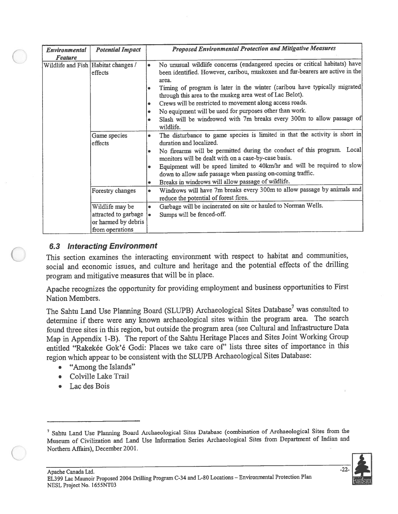| Environmental<br><b>Feature</b> | <b>Potential Impact</b>                                                           | <b>Proposed Environmental Protection and Mitigative Measures</b>                                                                                                                                                                                                                                                                                                                                                                                                                                                                                        |
|---------------------------------|-----------------------------------------------------------------------------------|---------------------------------------------------------------------------------------------------------------------------------------------------------------------------------------------------------------------------------------------------------------------------------------------------------------------------------------------------------------------------------------------------------------------------------------------------------------------------------------------------------------------------------------------------------|
|                                 | Wildlife and Fish Habitat changes /<br>effects                                    | No unusual wildlife concerns (endangered species or critical habitats) have<br>٠<br>been identified. However, caribou, muskoxen and fur-bearers are active in the<br>area.<br>Timing of program is later in the winter (caribou have typically migrated<br>through this area to the muskeg area west of Lac Belot).<br>Crews will be restricted to movement along access roads.<br>٠<br>No equipment will be used for purposes other than work.<br>۰<br>Slash will be windrowed with 7m breaks every 300m to allow passage of<br>$\bullet$<br>wildlife. |
|                                 | Game species<br>effects                                                           | The disturbance to game species is limited in that the activity is short in<br>۰<br>duration and localized.<br>No firearms will be permitted during the conduct of this program. Local<br>۰<br>monitors will be dealt with on a case-by-case basis.<br>Equipment will be speed limited to 40km/hr and will be required to slow<br>۰<br>down to allow safe passage when passing on-coming traffic.<br>Breaks in windrows will allow passage of wildlife.<br>۰                                                                                            |
|                                 | Forestry changes                                                                  | Windrows will have 7m breaks every 300m to allow passage by animals and<br>reduce the potential of forest fires.                                                                                                                                                                                                                                                                                                                                                                                                                                        |
|                                 | Wildlife may be<br>attracted to garbage<br>or harmed by debris<br>from operations | Garbage will be incinerated on site or hauled to Norman Wells.<br>$\bullet$<br>Sumps will be fenced-off.                                                                                                                                                                                                                                                                                                                                                                                                                                                |

## 6.3 Interacting Environment

This section examines the interacting environment with respec<sup>t</sup> to habitat and communities, social and economic issues, and culture and heritage and the potential effects of the drilling program and mitigative measures that will be in <sup>p</sup>lace.

Apache recognizes the opportunity for providing employment and business opportunities to First Nation Members.

The Sahtu Land Use Planning Board (SLUPB) Archaeological Sites Database<sup>7</sup> was consulted to determine if there were any known archaeological sites within the program area. The search found three sites in this region, but outside the program area (see Cultural and Infrastructure Data Map in Appendix 1-B). The report of the Sahtu Heritage Places and Sites Joint Working Group entitled "Rakekée Gok'é Godi: Places we take care of' lists three sites of importance in this region which appear to be consistent with the SLUPB Archaeological Sites Database:

- •"Among the Islands"
- •Colville Lake Trail
- •Lac des Bois

<sup>&</sup>lt;sup>7</sup> Sahtu Land Use Planning Board Archaeological Sites Database (combination of Archaeological Sites from the Museum of Civilization and Land Use Information Series Archaeological Sites from Department of Indian and Northern Affairs), December 2001.

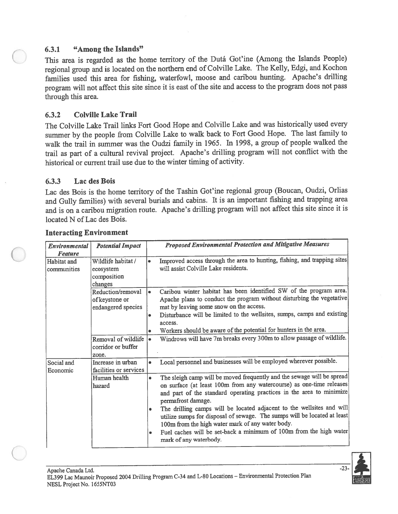#### 6.3.1 "Among the Islands"

This area is regarded as the home territory of the Dutá Got'ine (Among the Islands People) regional group and is located on the northern end of Colville Lake. The Kelly, Edgi, and Kochon families used this area for fishing, waterfowl, moose and caribou hunting. Apache's drilling program will not affect this site since it is east of the site and access to the program does not pass through this area.

#### 6.3.2 Colville Lake Trail

The Colville Lake Trail links Fort Good Hope and Colville Lake and was historically used every summer by the people from Colville Lake to walk back to Fort Good Hope. The last family to walk the trail in summer was the Oudzi family in 1965. In 1998, a group of people walked the trail as par<sup>t</sup> of <sup>a</sup> cultural revival project. Apache's drilling program will not conflict with the historical or current trail use due to the winter timing of activity.

#### 6.3.3 Lac des Bois

Lac des Bois is the home territory of the Tashin Got'ine regional group (Boucan, Oudzi, Orlias and Gully families) with several burials and cabins. It is an important fishing and trapping area and is on <sup>a</sup> caribou migration route. Apache's drilling program will not affect this site since it is located N of Lac des Bois.

| Environmental<br><b>Feature</b> | <b>Potential Impact</b>                                   |                             | <b>Proposed Environmental Protection and Mitigative Measures</b>                                                                                                                                                                                                                                                                                                                                                                                                                                                                                      |
|---------------------------------|-----------------------------------------------------------|-----------------------------|-------------------------------------------------------------------------------------------------------------------------------------------------------------------------------------------------------------------------------------------------------------------------------------------------------------------------------------------------------------------------------------------------------------------------------------------------------------------------------------------------------------------------------------------------------|
| Habitat and<br>communities      | Wildlife habitat /<br>ecosystem<br>composition<br>changes |                             | Improved access through the area to hunting, fishing, and trapping sites<br>will assist Colville Lake residents.                                                                                                                                                                                                                                                                                                                                                                                                                                      |
|                                 | Reduction/removal<br>of keystone or<br>endangered species | $\bullet$<br>٠<br>$\bullet$ | Caribou winter habitat has been identified SW of the program area.<br>Apache plans to conduct the program without disturbing the vegetative<br>mat by leaving some snow on the access.<br>Disturbance will be limited to the wellsites, sumps, camps and existing<br>access.<br>Workers should be aware of the potential for hunters in the area.                                                                                                                                                                                                     |
|                                 | Removal of wildlife<br>corridor or buffer<br>zone.        | $\bullet$                   | Windrows will have 7m breaks every 300m to allow passage of wildlife.                                                                                                                                                                                                                                                                                                                                                                                                                                                                                 |
| Social and<br>Economic          | Increase in urban<br>facilities or services               | $\bullet$                   | Local personnel and businesses will be employed wherever possible.                                                                                                                                                                                                                                                                                                                                                                                                                                                                                    |
|                                 | Human health<br>hazard                                    | $\bullet$<br>۰              | The sleigh camp will be moved frequently and the sewage will be spread<br>on surface (at least 100m from any watercourse) as one-time releases<br>and part of the standard operating practices in the area to minimize<br>permafrost damage.<br>The drilling camps will be located adjacent to the wellsites and will<br>utilize sumps for disposal of sewage. The sumps will be located at least<br>100m from the high water mark of any water body.<br>Fuel caches will be set-back a minimum of 100m from the high water<br>mark of any waterbody. |

#### Interacting Environment